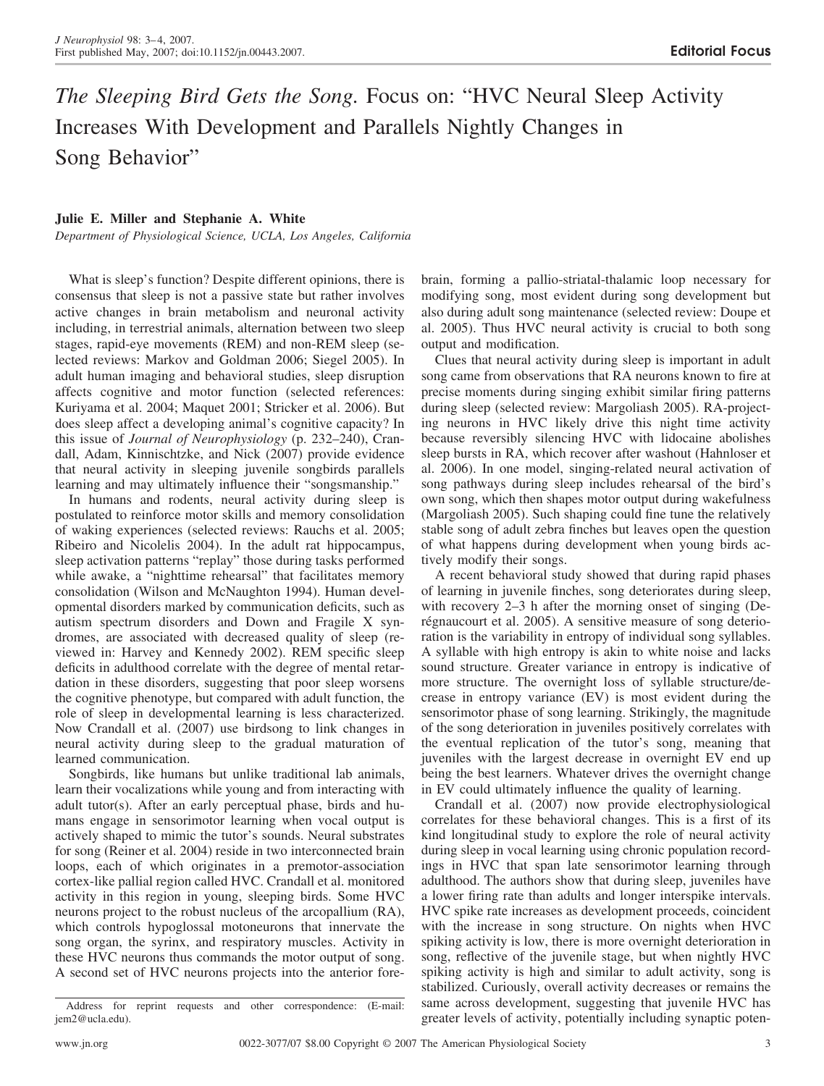## *The Sleeping Bird Gets the Song.* Focus on: "HVC Neural Sleep Activity Increases With Development and Parallels Nightly Changes in Song Behavior"

## **Julie E. Miller and Stephanie A. White**

*Department of Physiological Science, UCLA, Los Angeles, California*

What is sleep's function? Despite different opinions, there is consensus that sleep is not a passive state but rather involves active changes in brain metabolism and neuronal activity including, in terrestrial animals, alternation between two sleep stages, rapid-eye movements (REM) and non-REM sleep (selected reviews: Markov and Goldman 2006; Siegel 2005). In adult human imaging and behavioral studies, sleep disruption affects cognitive and motor function (selected references: Kuriyama et al. 2004; Maquet 2001; Stricker et al. 2006). But does sleep affect a developing animal's cognitive capacity? In this issue of *Journal of Neurophysiology* (p. 232–240), Crandall, Adam, Kinnischtzke, and Nick (2007) provide evidence that neural activity in sleeping juvenile songbirds parallels learning and may ultimately influence their "songsmanship."

In humans and rodents, neural activity during sleep is postulated to reinforce motor skills and memory consolidation of waking experiences (selected reviews: Rauchs et al. 2005; Ribeiro and Nicolelis 2004). In the adult rat hippocampus, sleep activation patterns "replay" those during tasks performed while awake, a "nighttime rehearsal" that facilitates memory consolidation (Wilson and McNaughton 1994). Human developmental disorders marked by communication deficits, such as autism spectrum disorders and Down and Fragile X syndromes, are associated with decreased quality of sleep (reviewed in: Harvey and Kennedy 2002). REM specific sleep deficits in adulthood correlate with the degree of mental retardation in these disorders, suggesting that poor sleep worsens the cognitive phenotype, but compared with adult function, the role of sleep in developmental learning is less characterized. Now Crandall et al. (2007) use birdsong to link changes in neural activity during sleep to the gradual maturation of learned communication.

Songbirds, like humans but unlike traditional lab animals, learn their vocalizations while young and from interacting with adult tutor(s). After an early perceptual phase, birds and humans engage in sensorimotor learning when vocal output is actively shaped to mimic the tutor's sounds. Neural substrates for song (Reiner et al. 2004) reside in two interconnected brain loops, each of which originates in a premotor-association cortex-like pallial region called HVC. Crandall et al. monitored activity in this region in young, sleeping birds. Some HVC neurons project to the robust nucleus of the arcopallium (RA), which controls hypoglossal motoneurons that innervate the song organ, the syrinx, and respiratory muscles. Activity in these HVC neurons thus commands the motor output of song. A second set of HVC neurons projects into the anterior forebrain, forming a pallio-striatal-thalamic loop necessary for modifying song, most evident during song development but also during adult song maintenance (selected review: Doupe et al. 2005). Thus HVC neural activity is crucial to both song output and modification.

Clues that neural activity during sleep is important in adult song came from observations that RA neurons known to fire at precise moments during singing exhibit similar firing patterns during sleep (selected review: Margoliash 2005). RA-projecting neurons in HVC likely drive this night time activity because reversibly silencing HVC with lidocaine abolishes sleep bursts in RA, which recover after washout (Hahnloser et al. 2006). In one model, singing-related neural activation of song pathways during sleep includes rehearsal of the bird's own song, which then shapes motor output during wakefulness (Margoliash 2005). Such shaping could fine tune the relatively stable song of adult zebra finches but leaves open the question of what happens during development when young birds actively modify their songs.

A recent behavioral study showed that during rapid phases of learning in juvenile finches, song deteriorates during sleep, with recovery 2–3 h after the morning onset of singing (Derégnaucourt et al. 2005). A sensitive measure of song deterioration is the variability in entropy of individual song syllables. A syllable with high entropy is akin to white noise and lacks sound structure. Greater variance in entropy is indicative of more structure. The overnight loss of syllable structure/decrease in entropy variance (EV) is most evident during the sensorimotor phase of song learning. Strikingly, the magnitude of the song deterioration in juveniles positively correlates with the eventual replication of the tutor's song, meaning that juveniles with the largest decrease in overnight EV end up being the best learners. Whatever drives the overnight change in EV could ultimately influence the quality of learning.

Crandall et al. (2007) now provide electrophysiological correlates for these behavioral changes. This is a first of its kind longitudinal study to explore the role of neural activity during sleep in vocal learning using chronic population recordings in HVC that span late sensorimotor learning through adulthood. The authors show that during sleep, juveniles have a lower firing rate than adults and longer interspike intervals. HVC spike rate increases as development proceeds, coincident with the increase in song structure. On nights when HVC spiking activity is low, there is more overnight deterioration in song, reflective of the juvenile stage, but when nightly HVC spiking activity is high and similar to adult activity, song is stabilized. Curiously, overall activity decreases or remains the same across development, suggesting that juvenile HVC has greater levels of activity, potentially including synaptic poten-

Address for reprint requests and other correspondence: (E-mail: jem2@ucla.edu).